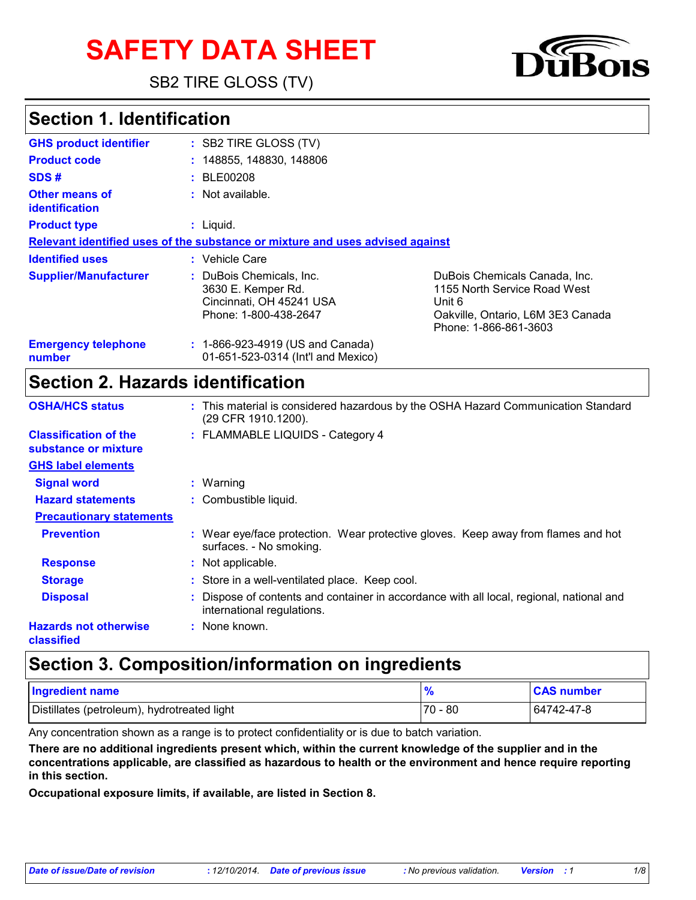# **SAFETY DATA SHEET**

SB2 TIRE GLOSS (TV)

### **Section 1. Identification**

| <b>GHS product identifier</b>                  | : SB2 TIRE GLOSS (TV)                                                                             |                                                                                                                                       |
|------------------------------------------------|---------------------------------------------------------------------------------------------------|---------------------------------------------------------------------------------------------------------------------------------------|
| <b>Product code</b>                            | : 148855, 148830, 148806                                                                          |                                                                                                                                       |
| SDS#                                           | : BE00208                                                                                         |                                                                                                                                       |
| <b>Other means of</b><br><b>identification</b> | $:$ Not available.                                                                                |                                                                                                                                       |
| <b>Product type</b>                            | : Liguid.                                                                                         |                                                                                                                                       |
|                                                | Relevant identified uses of the substance or mixture and uses advised against                     |                                                                                                                                       |
| <b>Identified uses</b>                         | : Vehicle Care                                                                                    |                                                                                                                                       |
| <b>Supplier/Manufacturer</b>                   | DuBois Chemicals, Inc.<br>3630 E. Kemper Rd.<br>Cincinnati, OH 45241 USA<br>Phone: 1-800-438-2647 | DuBois Chemicals Canada, Inc.<br>1155 North Service Road West<br>Unit 6<br>Oakville, Ontario, L6M 3E3 Canada<br>Phone: 1-866-861-3603 |
| <b>Emergency telephone</b><br>number           | : 1-866-923-4919 (US and Canada)<br>01-651-523-0314 (Int'l and Mexico)                            |                                                                                                                                       |

### **Section 2. Hazards identification**

| <b>OSHA/HCS status</b>                               | : This material is considered hazardous by the OSHA Hazard Communication Standard<br>(29 CFR 1910.1200).               |
|------------------------------------------------------|------------------------------------------------------------------------------------------------------------------------|
| <b>Classification of the</b><br>substance or mixture | : FLAMMABLE LIQUIDS - Category 4                                                                                       |
| <b>GHS label elements</b>                            |                                                                                                                        |
| <b>Signal word</b>                                   | $:$ Warning                                                                                                            |
| <b>Hazard statements</b>                             | : Combustible liquid.                                                                                                  |
| <b>Precautionary statements</b>                      |                                                                                                                        |
| <b>Prevention</b>                                    | : Wear eye/face protection. Wear protective gloves. Keep away from flames and hot<br>surfaces. - No smoking.           |
| <b>Response</b>                                      | : Not applicable.                                                                                                      |
| <b>Storage</b>                                       | : Store in a well-ventilated place. Keep cool.                                                                         |
| <b>Disposal</b>                                      | : Dispose of contents and container in accordance with all local, regional, national and<br>international regulations. |
| <b>Hazards not otherwise</b><br>classified           | : None known.                                                                                                          |

### **Section 3. Composition/information on ingredients**

| <b>Ingredient name</b>                      |             | <b>CAS number</b> |
|---------------------------------------------|-------------|-------------------|
| Distillates (petroleum), hydrotreated light | -80<br>70 - | 64742-47-8        |

Any concentration shown as a range is to protect confidentiality or is due to batch variation.

**There are no additional ingredients present which, within the current knowledge of the supplier and in the concentrations applicable, are classified as hazardous to health or the environment and hence require reporting in this section.**

**Occupational exposure limits, if available, are listed in Section 8.**

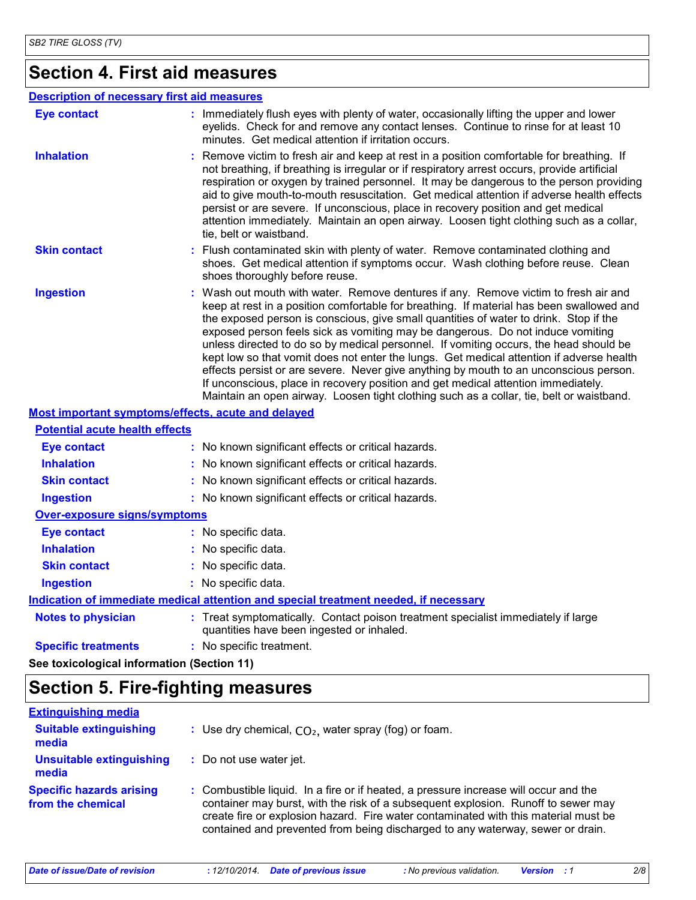### **Section 4. First aid measures**

### **Description of necessary first aid measures**

| <b>Eye contact</b>                    | : Immediately flush eyes with plenty of water, occasionally lifting the upper and lower<br>eyelids. Check for and remove any contact lenses. Continue to rinse for at least 10<br>minutes. Get medical attention if irritation occurs.                                                                                                                                                                                                                                                                                                                                                                                                                                                                                                                                                                                    |
|---------------------------------------|---------------------------------------------------------------------------------------------------------------------------------------------------------------------------------------------------------------------------------------------------------------------------------------------------------------------------------------------------------------------------------------------------------------------------------------------------------------------------------------------------------------------------------------------------------------------------------------------------------------------------------------------------------------------------------------------------------------------------------------------------------------------------------------------------------------------------|
| <b>Inhalation</b>                     | : Remove victim to fresh air and keep at rest in a position comfortable for breathing. If<br>not breathing, if breathing is irregular or if respiratory arrest occurs, provide artificial<br>respiration or oxygen by trained personnel. It may be dangerous to the person providing<br>aid to give mouth-to-mouth resuscitation. Get medical attention if adverse health effects<br>persist or are severe. If unconscious, place in recovery position and get medical<br>attention immediately. Maintain an open airway. Loosen tight clothing such as a collar,<br>tie, belt or waistband.                                                                                                                                                                                                                              |
| <b>Skin contact</b>                   | : Flush contaminated skin with plenty of water. Remove contaminated clothing and<br>shoes. Get medical attention if symptoms occur. Wash clothing before reuse. Clean<br>shoes thoroughly before reuse.                                                                                                                                                                                                                                                                                                                                                                                                                                                                                                                                                                                                                   |
| <b>Ingestion</b>                      | : Wash out mouth with water. Remove dentures if any. Remove victim to fresh air and<br>keep at rest in a position comfortable for breathing. If material has been swallowed and<br>the exposed person is conscious, give small quantities of water to drink. Stop if the<br>exposed person feels sick as vomiting may be dangerous. Do not induce vomiting<br>unless directed to do so by medical personnel. If vomiting occurs, the head should be<br>kept low so that vomit does not enter the lungs. Get medical attention if adverse health<br>effects persist or are severe. Never give anything by mouth to an unconscious person.<br>If unconscious, place in recovery position and get medical attention immediately.<br>Maintain an open airway. Loosen tight clothing such as a collar, tie, belt or waistband. |
|                                       | Most important symptoms/effects, acute and delayed                                                                                                                                                                                                                                                                                                                                                                                                                                                                                                                                                                                                                                                                                                                                                                        |
| <b>Potential acute health effects</b> |                                                                                                                                                                                                                                                                                                                                                                                                                                                                                                                                                                                                                                                                                                                                                                                                                           |
| <b>Eye contact</b>                    | : No known significant effects or critical hazards.                                                                                                                                                                                                                                                                                                                                                                                                                                                                                                                                                                                                                                                                                                                                                                       |
| <b>Inhalation</b>                     | : No known significant effects or critical hazards.                                                                                                                                                                                                                                                                                                                                                                                                                                                                                                                                                                                                                                                                                                                                                                       |
| <b>Skin contact</b>                   | : No known significant effects or critical hazards.                                                                                                                                                                                                                                                                                                                                                                                                                                                                                                                                                                                                                                                                                                                                                                       |
| <b>Ingestion</b>                      | : No known significant effects or critical hazards.                                                                                                                                                                                                                                                                                                                                                                                                                                                                                                                                                                                                                                                                                                                                                                       |
| <b>Over-exposure signs/symptoms</b>   |                                                                                                                                                                                                                                                                                                                                                                                                                                                                                                                                                                                                                                                                                                                                                                                                                           |
| <b>Eye contact</b>                    | : No specific data.                                                                                                                                                                                                                                                                                                                                                                                                                                                                                                                                                                                                                                                                                                                                                                                                       |
| <b>Inhalation</b>                     | : No specific data.                                                                                                                                                                                                                                                                                                                                                                                                                                                                                                                                                                                                                                                                                                                                                                                                       |

**Notes to physician <b>:** Treat symptomatically. Contact poison treatment specialist immediately if large quantities have been ingested or inhaled. **Skin contact Ingestion** No specific data. **:** No specific data. **: Indication of immediate medical attention and special treatment needed, if necessary**

**Specific treatments :** No specific treatment.

**See toxicological information (Section 11)**

### **Section 5. Fire-fighting measures**

| <b>Extinguishing media</b>                           |                                                                                                                                                                                                                                                                                                                                                    |
|------------------------------------------------------|----------------------------------------------------------------------------------------------------------------------------------------------------------------------------------------------------------------------------------------------------------------------------------------------------------------------------------------------------|
| <b>Suitable extinguishing</b><br>media               | : Use dry chemical, $CO2$ , water spray (fog) or foam.                                                                                                                                                                                                                                                                                             |
| Unsuitable extinguishing<br>media                    | : Do not use water jet.                                                                                                                                                                                                                                                                                                                            |
| <b>Specific hazards arising</b><br>from the chemical | : Combustible liquid. In a fire or if heated, a pressure increase will occur and the<br>container may burst, with the risk of a subsequent explosion. Runoff to sewer may<br>create fire or explosion hazard. Fire water contaminated with this material must be<br>contained and prevented from being discharged to any waterway, sewer or drain. |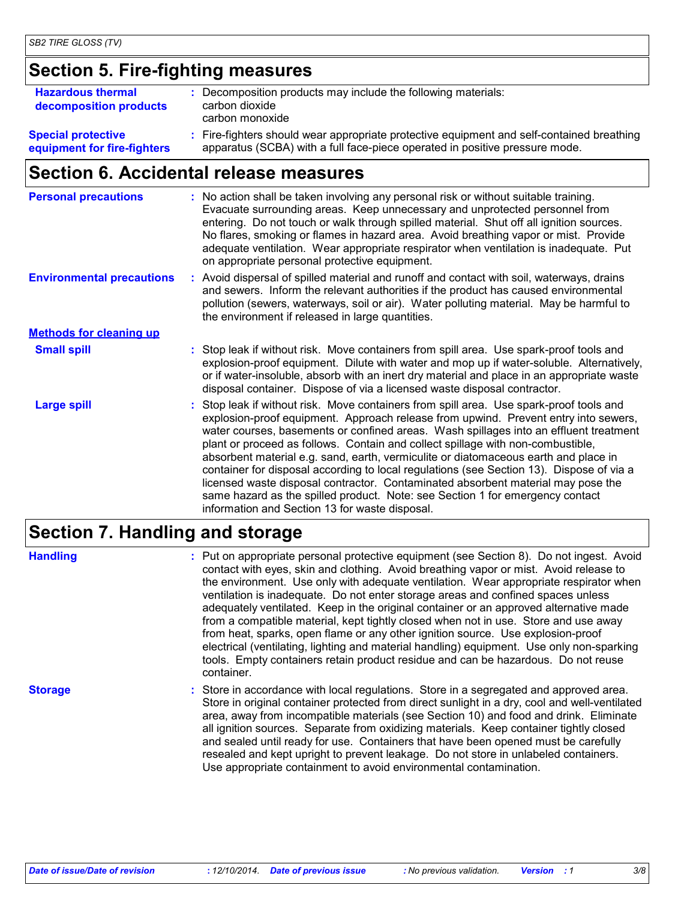### **Section 5. Fire-fighting measures**

| <b>Hazardous thermal</b><br>decomposition products       | : Decomposition products may include the following materials:<br>carbon dioxide<br>carbon monoxide                                                                       |
|----------------------------------------------------------|--------------------------------------------------------------------------------------------------------------------------------------------------------------------------|
| <b>Special protective</b><br>equipment for fire-fighters | : Fire-fighters should wear appropriate protective equipment and self-contained breathing<br>apparatus (SCBA) with a full face-piece operated in positive pressure mode. |

### **Section 6. Accidental release measures**

| <b>Personal precautions</b>      | : No action shall be taken involving any personal risk or without suitable training.<br>Evacuate surrounding areas. Keep unnecessary and unprotected personnel from<br>entering. Do not touch or walk through spilled material. Shut off all ignition sources.<br>No flares, smoking or flames in hazard area. Avoid breathing vapor or mist. Provide<br>adequate ventilation. Wear appropriate respirator when ventilation is inadequate. Put<br>on appropriate personal protective equipment.                                                                                                                                                                                                                                                                    |
|----------------------------------|--------------------------------------------------------------------------------------------------------------------------------------------------------------------------------------------------------------------------------------------------------------------------------------------------------------------------------------------------------------------------------------------------------------------------------------------------------------------------------------------------------------------------------------------------------------------------------------------------------------------------------------------------------------------------------------------------------------------------------------------------------------------|
| <b>Environmental precautions</b> | : Avoid dispersal of spilled material and runoff and contact with soil, waterways, drains<br>and sewers. Inform the relevant authorities if the product has caused environmental<br>pollution (sewers, waterways, soil or air). Water polluting material. May be harmful to<br>the environment if released in large quantities.                                                                                                                                                                                                                                                                                                                                                                                                                                    |
| <b>Methods for cleaning up</b>   |                                                                                                                                                                                                                                                                                                                                                                                                                                                                                                                                                                                                                                                                                                                                                                    |
| <b>Small spill</b>               | : Stop leak if without risk. Move containers from spill area. Use spark-proof tools and<br>explosion-proof equipment. Dilute with water and mop up if water-soluble. Alternatively,<br>or if water-insoluble, absorb with an inert dry material and place in an appropriate waste<br>disposal container. Dispose of via a licensed waste disposal contractor.                                                                                                                                                                                                                                                                                                                                                                                                      |
| <b>Large spill</b>               | Stop leak if without risk. Move containers from spill area. Use spark-proof tools and<br>explosion-proof equipment. Approach release from upwind. Prevent entry into sewers,<br>water courses, basements or confined areas. Wash spillages into an effluent treatment<br>plant or proceed as follows. Contain and collect spillage with non-combustible,<br>absorbent material e.g. sand, earth, vermiculite or diatomaceous earth and place in<br>container for disposal according to local regulations (see Section 13). Dispose of via a<br>licensed waste disposal contractor. Contaminated absorbent material may pose the<br>same hazard as the spilled product. Note: see Section 1 for emergency contact<br>information and Section 13 for waste disposal. |

### **Section 7. Handling and storage**

**Handling** entries a metal on appropriate personal protective equipment (see Section 8). Do not ingest. Avoid and the section 8) and the section 8 contact with eyes, skin and clothing. Avoid breathing vapor or mist. Avoid release to the environment. Use only with adequate ventilation. Wear appropriate respirator when ventilation is inadequate. Do not enter storage areas and confined spaces unless adequately ventilated. Keep in the original container or an approved alternative made from a compatible material, kept tightly closed when not in use. Store and use away from heat, sparks, open flame or any other ignition source. Use explosion-proof electrical (ventilating, lighting and material handling) equipment. Use only non-sparking tools. Empty containers retain product residue and can be hazardous. Do not reuse container.

**Storage** Store in accordance with local regulations. Store in a segregated and approved area. Store in original container protected from direct sunlight in a dry, cool and well-ventilated area, away from incompatible materials (see Section 10) and food and drink. Eliminate all ignition sources. Separate from oxidizing materials. Keep container tightly closed and sealed until ready for use. Containers that have been opened must be carefully resealed and kept upright to prevent leakage. Do not store in unlabeled containers. Use appropriate containment to avoid environmental contamination.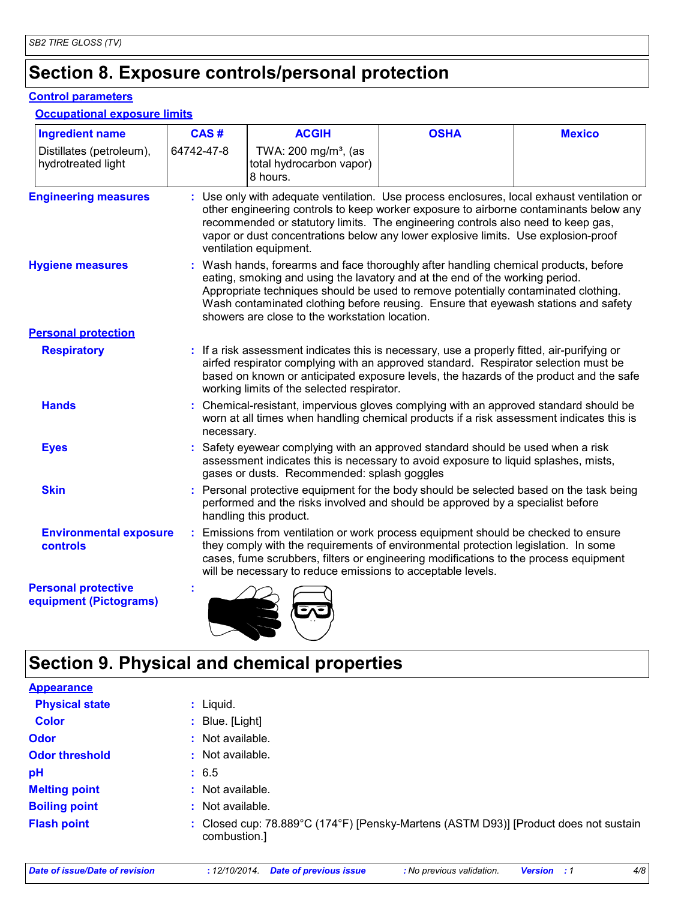### **Section 8. Exposure controls/personal protection**

### **Control parameters**

**Occupational exposure limits**

| <b>Ingredient name</b>                               | CAS#       | <b>ACGIH</b>                                                                                                                                                                                                                                                                                                                                                                                      | <b>OSHA</b> | <b>Mexico</b> |
|------------------------------------------------------|------------|---------------------------------------------------------------------------------------------------------------------------------------------------------------------------------------------------------------------------------------------------------------------------------------------------------------------------------------------------------------------------------------------------|-------------|---------------|
| Distillates (petroleum),<br>hydrotreated light       | 64742-47-8 | TWA: 200 mg/m <sup>3</sup> , (as<br>total hydrocarbon vapor)<br>8 hours.                                                                                                                                                                                                                                                                                                                          |             |               |
| <b>Engineering measures</b>                          |            | : Use only with adequate ventilation. Use process enclosures, local exhaust ventilation or<br>other engineering controls to keep worker exposure to airborne contaminants below any<br>recommended or statutory limits. The engineering controls also need to keep gas,<br>vapor or dust concentrations below any lower explosive limits. Use explosion-proof<br>ventilation equipment.           |             |               |
| <b>Hygiene measures</b>                              |            | : Wash hands, forearms and face thoroughly after handling chemical products, before<br>eating, smoking and using the lavatory and at the end of the working period.<br>Appropriate techniques should be used to remove potentially contaminated clothing.<br>Wash contaminated clothing before reusing. Ensure that eyewash stations and safety<br>showers are close to the workstation location. |             |               |
| <b>Personal protection</b>                           |            |                                                                                                                                                                                                                                                                                                                                                                                                   |             |               |
| <b>Respiratory</b>                                   |            | : If a risk assessment indicates this is necessary, use a properly fitted, air-purifying or<br>airfed respirator complying with an approved standard. Respirator selection must be<br>based on known or anticipated exposure levels, the hazards of the product and the safe<br>working limits of the selected respirator.                                                                        |             |               |
| <b>Hands</b>                                         | necessary. | : Chemical-resistant, impervious gloves complying with an approved standard should be<br>worn at all times when handling chemical products if a risk assessment indicates this is                                                                                                                                                                                                                 |             |               |
| <b>Eyes</b>                                          |            | : Safety eyewear complying with an approved standard should be used when a risk<br>assessment indicates this is necessary to avoid exposure to liquid splashes, mists,<br>gases or dusts. Recommended: splash goggles                                                                                                                                                                             |             |               |
| <b>Skin</b>                                          |            | : Personal protective equipment for the body should be selected based on the task being<br>performed and the risks involved and should be approved by a specialist before<br>handling this product.                                                                                                                                                                                               |             |               |
| <b>Environmental exposure</b><br>controls            |            | : Emissions from ventilation or work process equipment should be checked to ensure<br>they comply with the requirements of environmental protection legislation. In some<br>cases, fume scrubbers, filters or engineering modifications to the process equipment<br>will be necessary to reduce emissions to acceptable levels.                                                                   |             |               |
| <b>Personal protective</b><br>equipment (Pictograms) |            |                                                                                                                                                                                                                                                                                                                                                                                                   |             |               |

## **Section 9. Physical and chemical properties**

 $\blacksquare$ 

| <b>Appearance</b>     |                                                                                                      |
|-----------------------|------------------------------------------------------------------------------------------------------|
| <b>Physical state</b> | : Liquid.                                                                                            |
| <b>Color</b>          | : Blue. [Light]                                                                                      |
| <b>Odor</b>           | : Not available.                                                                                     |
| <b>Odor threshold</b> | : Not available.                                                                                     |
| pH                    | : 6.5                                                                                                |
| <b>Melting point</b>  | $:$ Not available.                                                                                   |
| <b>Boiling point</b>  | $:$ Not available.                                                                                   |
| <b>Flash point</b>    | : Closed cup: 78.889°C (174°F) [Pensky-Martens (ASTM D93)] [Product does not sustain<br>combustion.] |
|                       |                                                                                                      |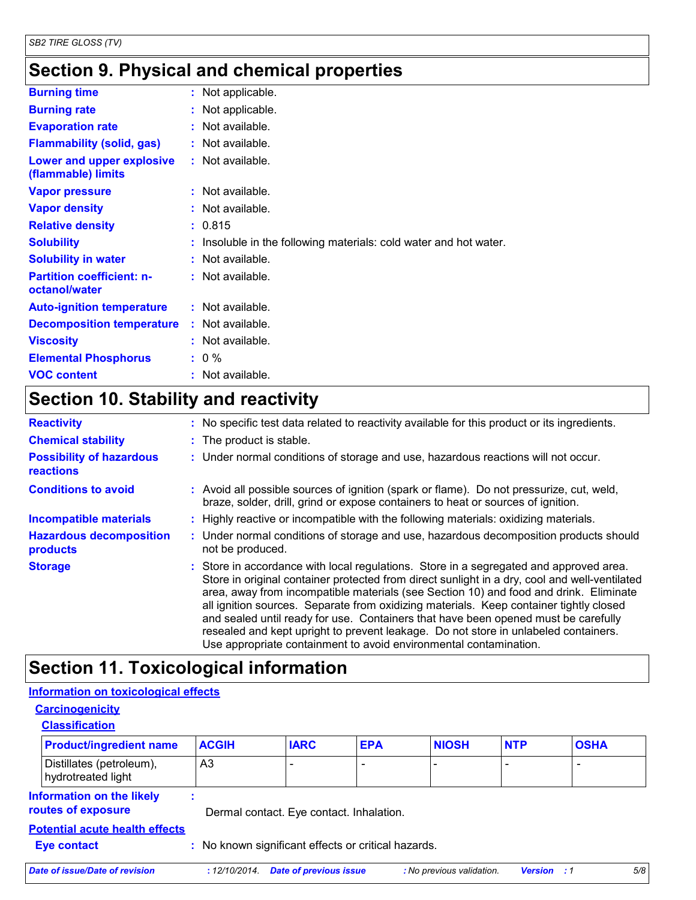## **Section 9. Physical and chemical properties**

| <b>Burning time</b>                               | : Not applicable.                                                 |
|---------------------------------------------------|-------------------------------------------------------------------|
| <b>Burning rate</b>                               | : Not applicable.                                                 |
| <b>Evaporation rate</b>                           | $:$ Not available.                                                |
| <b>Flammability (solid, gas)</b>                  | : Not available.                                                  |
| Lower and upper explosive<br>(flammable) limits   | : Not available.                                                  |
| <b>Vapor pressure</b>                             | : Not available.                                                  |
| <b>Vapor density</b>                              | : Not available.                                                  |
| <b>Relative density</b>                           | : 0.815                                                           |
| <b>Solubility</b>                                 | : Insoluble in the following materials: cold water and hot water. |
| <b>Solubility in water</b>                        | : Not available.                                                  |
| <b>Partition coefficient: n-</b><br>octanol/water | : Not available.                                                  |
| <b>Auto-ignition temperature</b>                  | : Not available.                                                  |
| <b>Decomposition temperature</b>                  | : Not available.                                                  |
| <b>Viscosity</b>                                  | $:$ Not available.                                                |
| <b>Elemental Phosphorus</b>                       | $: 0 \%$                                                          |
| <b>VOC content</b>                                | : Not available.                                                  |

## **Section 10. Stability and reactivity**

| <b>Reactivity</b>                            | : No specific test data related to reactivity available for this product or its ingredients.                                                                                                                                                                                                                                                                                                                                                                                                                                                                                                                                 |
|----------------------------------------------|------------------------------------------------------------------------------------------------------------------------------------------------------------------------------------------------------------------------------------------------------------------------------------------------------------------------------------------------------------------------------------------------------------------------------------------------------------------------------------------------------------------------------------------------------------------------------------------------------------------------------|
| <b>Chemical stability</b>                    | : The product is stable.                                                                                                                                                                                                                                                                                                                                                                                                                                                                                                                                                                                                     |
| <b>Possibility of hazardous</b><br>reactions | : Under normal conditions of storage and use, hazardous reactions will not occur.                                                                                                                                                                                                                                                                                                                                                                                                                                                                                                                                            |
| <b>Conditions to avoid</b>                   | : Avoid all possible sources of ignition (spark or flame). Do not pressurize, cut, weld,<br>braze, solder, drill, grind or expose containers to heat or sources of ignition.                                                                                                                                                                                                                                                                                                                                                                                                                                                 |
| <b>Incompatible materials</b>                | : Highly reactive or incompatible with the following materials: oxidizing materials.                                                                                                                                                                                                                                                                                                                                                                                                                                                                                                                                         |
| <b>Hazardous decomposition</b><br>products   | : Under normal conditions of storage and use, hazardous decomposition products should<br>not be produced.                                                                                                                                                                                                                                                                                                                                                                                                                                                                                                                    |
| <b>Storage</b>                               | : Store in accordance with local regulations. Store in a segregated and approved area.<br>Store in original container protected from direct sunlight in a dry, cool and well-ventilated<br>area, away from incompatible materials (see Section 10) and food and drink. Eliminate<br>all ignition sources. Separate from oxidizing materials. Keep container tightly closed<br>and sealed until ready for use. Containers that have been opened must be carefully<br>resealed and kept upright to prevent leakage. Do not store in unlabeled containers.<br>Use appropriate containment to avoid environmental contamination. |

## **Section 11. Toxicological information**

### **Information on toxicological effects**

| <b>Carcinogenicity</b> |
|------------------------|
|------------------------|

| <b>Classification</b>                                                     |                                          |                               |            |                           |                    |                          |  |  |
|---------------------------------------------------------------------------|------------------------------------------|-------------------------------|------------|---------------------------|--------------------|--------------------------|--|--|
| <b>Product/ingredient name</b>                                            | <b>ACGIH</b>                             | <b>IARC</b>                   | <b>EPA</b> | <b>NIOSH</b>              | <b>NTP</b>         | <b>OSHA</b>              |  |  |
| Distillates (petroleum),<br>hydrotreated light                            | A <sub>3</sub>                           |                               |            |                           |                    | $\overline{\phantom{0}}$ |  |  |
| Information on the likely<br>routes of exposure                           | Dermal contact. Eye contact. Inhalation. |                               |            |                           |                    |                          |  |  |
| <b>Potential acute health effects</b>                                     |                                          |                               |            |                           |                    |                          |  |  |
| : No known significant effects or critical hazards.<br><b>Eye contact</b> |                                          |                               |            |                           |                    |                          |  |  |
| Date of issue/Date of revision                                            | : 12/10/2014.                            | <b>Date of previous issue</b> |            | : No previous validation. | <b>Version</b> : 1 | 5/8                      |  |  |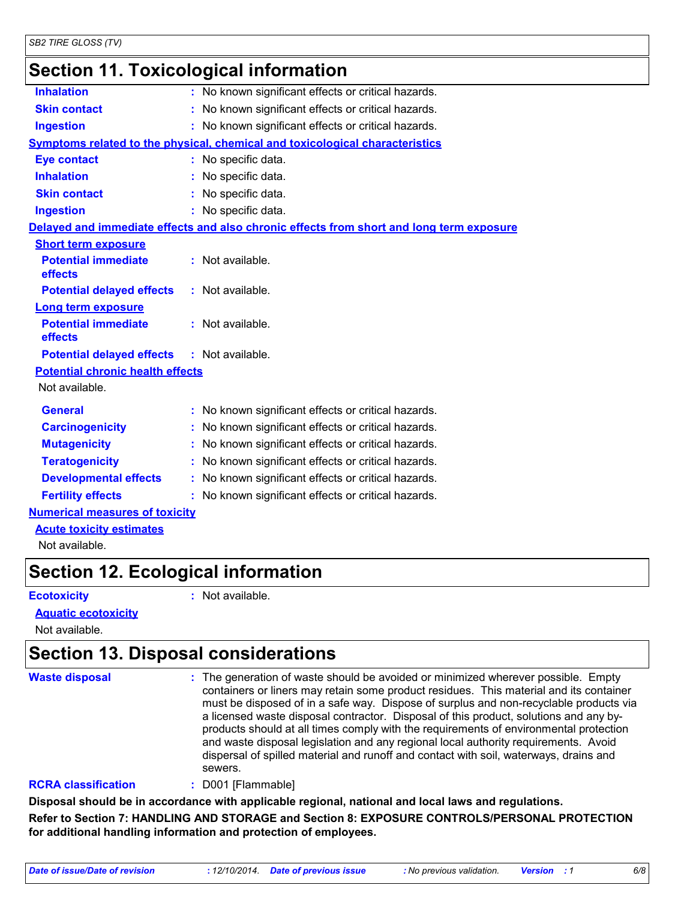### **Section 11. Toxicological information**

| <b>Inhalation</b>                       | : No known significant effects or critical hazards.                                      |  |
|-----------------------------------------|------------------------------------------------------------------------------------------|--|
| <b>Skin contact</b>                     | : No known significant effects or critical hazards.                                      |  |
| <b>Ingestion</b>                        | : No known significant effects or critical hazards.                                      |  |
|                                         | Symptoms related to the physical, chemical and toxicological characteristics             |  |
| <b>Eye contact</b>                      | : No specific data.                                                                      |  |
| <b>Inhalation</b>                       | : No specific data.                                                                      |  |
| <b>Skin contact</b>                     | : No specific data.                                                                      |  |
| <b>Ingestion</b>                        | : No specific data.                                                                      |  |
|                                         | Delayed and immediate effects and also chronic effects from short and long term exposure |  |
| <b>Short term exposure</b>              |                                                                                          |  |
| <b>Potential immediate</b><br>effects   | : Not available.                                                                         |  |
| <b>Potential delayed effects</b>        | : Not available.                                                                         |  |
| <b>Long term exposure</b>               |                                                                                          |  |
| <b>Potential immediate</b><br>effects   | : Not available.                                                                         |  |
| <b>Potential delayed effects</b>        | : Not available.                                                                         |  |
| <b>Potential chronic health effects</b> |                                                                                          |  |
| Not available.                          |                                                                                          |  |
| <b>General</b>                          | : No known significant effects or critical hazards.                                      |  |
| <b>Carcinogenicity</b>                  | : No known significant effects or critical hazards.                                      |  |
| <b>Mutagenicity</b>                     | : No known significant effects or critical hazards.                                      |  |
| <b>Teratogenicity</b>                   | : No known significant effects or critical hazards.                                      |  |
| <b>Developmental effects</b>            | : No known significant effects or critical hazards.                                      |  |
| <b>Fertility effects</b>                | : No known significant effects or critical hazards.                                      |  |
| <b>Numerical measures of toxicity</b>   |                                                                                          |  |
| <b>Acute toxicity estimates</b>         |                                                                                          |  |
|                                         |                                                                                          |  |

Not available.

### **Section 12. Ecological information**

**Ecotoxicity :**

: Not available.

#### **Aquatic ecotoxicity**

Not available.

### **Section 13. Disposal considerations**

| <b>Waste disposal</b> | : The generation of waste should be avoided or minimized wherever possible. Empty<br>containers or liners may retain some product residues. This material and its container<br>must be disposed of in a safe way. Dispose of surplus and non-recyclable products via<br>a licensed waste disposal contractor. Disposal of this product, solutions and any by-<br>products should at all times comply with the requirements of environmental protection<br>and waste disposal legislation and any regional local authority requirements. Avoid<br>dispersal of spilled material and runoff and contact with soil, waterways, drains and<br>sewers. |
|-----------------------|---------------------------------------------------------------------------------------------------------------------------------------------------------------------------------------------------------------------------------------------------------------------------------------------------------------------------------------------------------------------------------------------------------------------------------------------------------------------------------------------------------------------------------------------------------------------------------------------------------------------------------------------------|
|                       |                                                                                                                                                                                                                                                                                                                                                                                                                                                                                                                                                                                                                                                   |

### **RCRA classification :** D001 [Flammable]

**Disposal should be in accordance with applicable regional, national and local laws and regulations. Refer to Section 7: HANDLING AND STORAGE and Section 8: EXPOSURE CONTROLS/PERSONAL PROTECTION for additional handling information and protection of employees.**

*Date of issue/Date of revision* **:** *12/10/2014. Date of previous issue : No previous validation. Version : 1 6/8*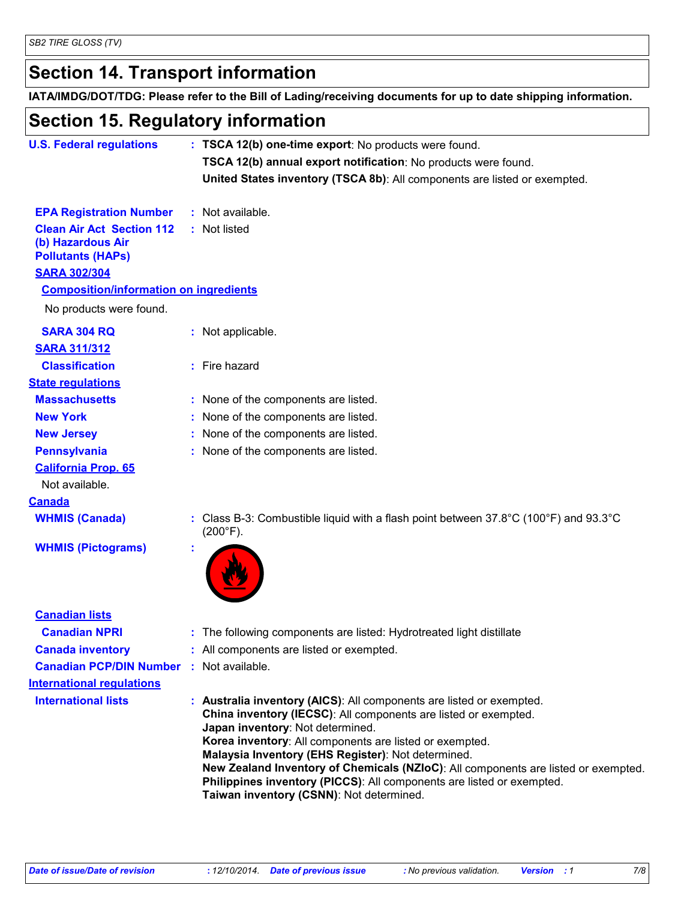## **Section 14. Transport information**

**IATA/IMDG/DOT/TDG: Please refer to the Bill of Lading/receiving documents for up to date shipping information.**

### **Section 15. Regulatory information**

| <b>U.S. Federal regulations</b>                                                   | : TSCA 12(b) one-time export: No products were found.<br>TSCA 12(b) annual export notification: No products were found.                                                                                                                                                                      |
|-----------------------------------------------------------------------------------|----------------------------------------------------------------------------------------------------------------------------------------------------------------------------------------------------------------------------------------------------------------------------------------------|
|                                                                                   | United States inventory (TSCA 8b): All components are listed or exempted.                                                                                                                                                                                                                    |
| <b>EPA Registration Number</b>                                                    | : Not available.                                                                                                                                                                                                                                                                             |
| <b>Clean Air Act Section 112</b><br>(b) Hazardous Air<br><b>Pollutants (HAPs)</b> | : Not listed                                                                                                                                                                                                                                                                                 |
| <b>SARA 302/304</b>                                                               |                                                                                                                                                                                                                                                                                              |
| <b>Composition/information on ingredients</b><br>No products were found.          |                                                                                                                                                                                                                                                                                              |
| <b>SARA 304 RQ</b><br><b>SARA 311/312</b>                                         | : Not applicable.                                                                                                                                                                                                                                                                            |
| <b>Classification</b>                                                             | : Fire hazard                                                                                                                                                                                                                                                                                |
| <b>State regulations</b>                                                          |                                                                                                                                                                                                                                                                                              |
| <b>Massachusetts</b>                                                              | : None of the components are listed.                                                                                                                                                                                                                                                         |
| <b>New York</b>                                                                   | : None of the components are listed.                                                                                                                                                                                                                                                         |
| <b>New Jersey</b>                                                                 | : None of the components are listed.                                                                                                                                                                                                                                                         |
| <b>Pennsylvania</b>                                                               | : None of the components are listed.                                                                                                                                                                                                                                                         |
| <b>California Prop. 65</b>                                                        |                                                                                                                                                                                                                                                                                              |
| Not available.                                                                    |                                                                                                                                                                                                                                                                                              |
| <b>Canada</b>                                                                     |                                                                                                                                                                                                                                                                                              |
| <b>WHMIS (Canada)</b>                                                             | : Class B-3: Combustible liquid with a flash point between $37.8^{\circ}$ C (100 $^{\circ}$ F) and 93.3 $^{\circ}$ C<br>$(200^{\circ}F).$                                                                                                                                                    |
| <b>WHMIS (Pictograms)</b>                                                         |                                                                                                                                                                                                                                                                                              |
| <b>Canadian lists</b>                                                             |                                                                                                                                                                                                                                                                                              |
| <b>Canadian NPRI</b>                                                              | : The following components are listed: Hydrotreated light distillate                                                                                                                                                                                                                         |
| <b>Canada inventory</b>                                                           | : All components are listed or exempted.                                                                                                                                                                                                                                                     |
| <b>Canadian PCP/DIN Number</b>                                                    | : Not available.                                                                                                                                                                                                                                                                             |
| <b>International regulations</b>                                                  |                                                                                                                                                                                                                                                                                              |
| <b>International lists</b>                                                        | : Australia inventory (AICS): All components are listed or exempted.<br>China inventory (IECSC): All components are listed or exempted.<br>Japan inventory: Not determined.<br>Korea inventory: All components are listed or exempted.<br>Malaysia Inventory (EHS Register): Not determined. |

**New Zealand Inventory of Chemicals (NZIoC)**: All components are listed or exempted. **Philippines inventory (PICCS)**: All components are listed or exempted. **Taiwan inventory (CSNN)**: Not determined.